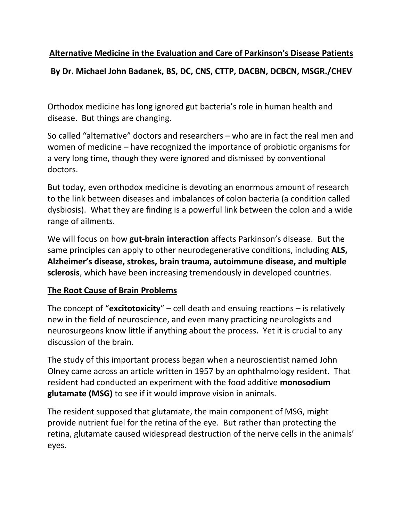# **Alternative Medicine in the Evaluation and Care of Parkinson's Disease Patients By Dr. Michael John Badanek, BS, DC, CNS, CTTP, DACBN, DCBCN, MSGR./CHEV**

Orthodox medicine has long ignored gut bacteria's role in human health and disease. But things are changing.

So called "alternative" doctors and researchers – who are in fact the real men and women of medicine – have recognized the importance of probiotic organisms for a very long time, though they were ignored and dismissed by conventional doctors.

But today, even orthodox medicine is devoting an enormous amount of research to the link between diseases and imbalances of colon bacteria (a condition called dysbiosis). What they are finding is a powerful link between the colon and a wide range of ailments.

We will focus on how **gut-brain interaction** affects Parkinson's disease. But the same principles can apply to other neurodegenerative conditions, including **ALS, Alzheimer's disease, strokes, brain trauma, autoimmune disease, and multiple sclerosis**, which have been increasing tremendously in developed countries.

## **The Root Cause of Brain Problems**

The concept of "**excitotoxicity**" – cell death and ensuing reactions – is relatively new in the field of neuroscience, and even many practicing neurologists and neurosurgeons know little if anything about the process. Yet it is crucial to any discussion of the brain.

The study of this important process began when a neuroscientist named John Olney came across an article written in 1957 by an ophthalmology resident. That resident had conducted an experiment with the food additive **monosodium glutamate (MSG)** to see if it would improve vision in animals.

The resident supposed that glutamate, the main component of MSG, might provide nutrient fuel for the retina of the eye. But rather than protecting the retina, glutamate caused widespread destruction of the nerve cells in the animals' eyes.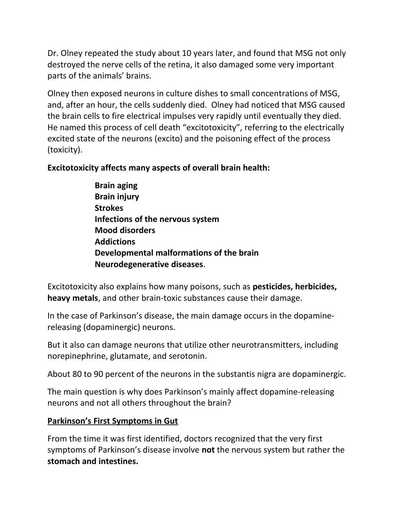Dr. Olney repeated the study about 10 years later, and found that MSG not only destroyed the nerve cells of the retina, it also damaged some very important parts of the animals' brains.

Olney then exposed neurons in culture dishes to small concentrations of MSG, and, after an hour, the cells suddenly died. Olney had noticed that MSG caused the brain cells to fire electrical impulses very rapidly until eventually they died. He named this process of cell death "excitotoxicity", referring to the electrically excited state of the neurons (excito) and the poisoning effect of the process (toxicity).

### **Excitotoxicity affects many aspects of overall brain health:**

**Brain aging Brain injury Strokes Infections of the nervous system Mood disorders Addictions Developmental malformations of the brain Neurodegenerative diseases**.

Excitotoxicity also explains how many poisons, such as **pesticides, herbicides, heavy metals**, and other brain-toxic substances cause their damage.

In the case of Parkinson's disease, the main damage occurs in the dopaminereleasing (dopaminergic) neurons.

But it also can damage neurons that utilize other neurotransmitters, including norepinephrine, glutamate, and serotonin.

About 80 to 90 percent of the neurons in the substantis nigra are dopaminergic.

The main question is why does Parkinson's mainly affect dopamine-releasing neurons and not all others throughout the brain?

#### **Parkinson's First Symptoms in Gut**

From the time it was first identified, doctors recognized that the very first symptoms of Parkinson's disease involve **not** the nervous system but rather the **stomach and intestines.**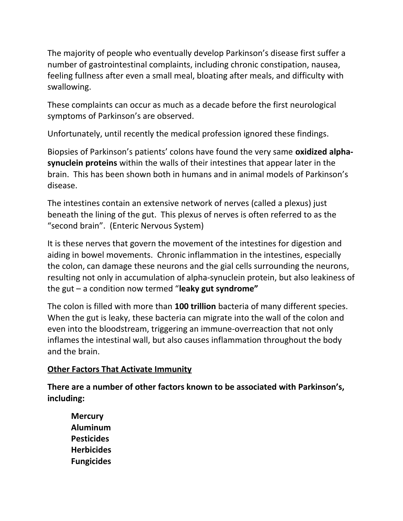The majority of people who eventually develop Parkinson's disease first suffer a number of gastrointestinal complaints, including chronic constipation, nausea, feeling fullness after even a small meal, bloating after meals, and difficulty with swallowing.

These complaints can occur as much as a decade before the first neurological symptoms of Parkinson's are observed.

Unfortunately, until recently the medical profession ignored these findings.

Biopsies of Parkinson's patients' colons have found the very same **oxidized alphasynuclein proteins** within the walls of their intestines that appear later in the brain. This has been shown both in humans and in animal models of Parkinson's disease.

The intestines contain an extensive network of nerves (called a plexus) just beneath the lining of the gut. This plexus of nerves is often referred to as the "second brain". (Enteric Nervous System)

It is these nerves that govern the movement of the intestines for digestion and aiding in bowel movements. Chronic inflammation in the intestines, especially the colon, can damage these neurons and the gial cells surrounding the neurons, resulting not only in accumulation of alpha-synuclein protein, but also leakiness of the gut – a condition now termed "**leaky gut syndrome"**

The colon is filled with more than **100 trillion** bacteria of many different species. When the gut is leaky, these bacteria can migrate into the wall of the colon and even into the bloodstream, triggering an immune-overreaction that not only inflames the intestinal wall, but also causes inflammation throughout the body and the brain.

#### **Other Factors That Activate Immunity**

**There are a number of other factors known to be associated with Parkinson's, including:**

**Mercury Aluminum Pesticides Herbicides Fungicides**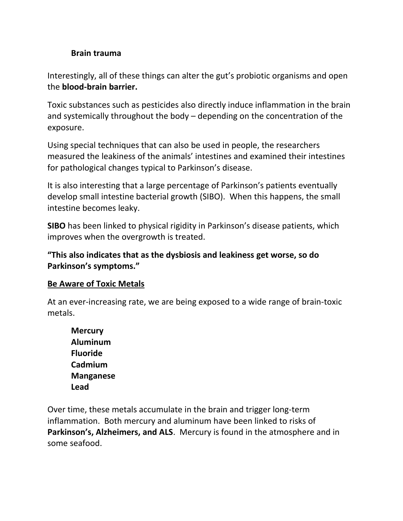#### **Brain trauma**

Interestingly, all of these things can alter the gut's probiotic organisms and open the **blood-brain barrier.**

Toxic substances such as pesticides also directly induce inflammation in the brain and systemically throughout the body – depending on the concentration of the exposure.

Using special techniques that can also be used in people, the researchers measured the leakiness of the animals' intestines and examined their intestines for pathological changes typical to Parkinson's disease.

It is also interesting that a large percentage of Parkinson's patients eventually develop small intestine bacterial growth (SIBO). When this happens, the small intestine becomes leaky.

**SIBO** has been linked to physical rigidity in Parkinson's disease patients, which improves when the overgrowth is treated.

**"This also indicates that as the dysbiosis and leakiness get worse, so do Parkinson's symptoms."**

#### **Be Aware of Toxic Metals**

At an ever-increasing rate, we are being exposed to a wide range of brain-toxic metals.

**Mercury Aluminum Fluoride Cadmium Manganese Lead**

Over time, these metals accumulate in the brain and trigger long-term inflammation. Both mercury and aluminum have been linked to risks of **Parkinson's, Alzheimers, and ALS**. Mercury is found in the atmosphere and in some seafood.